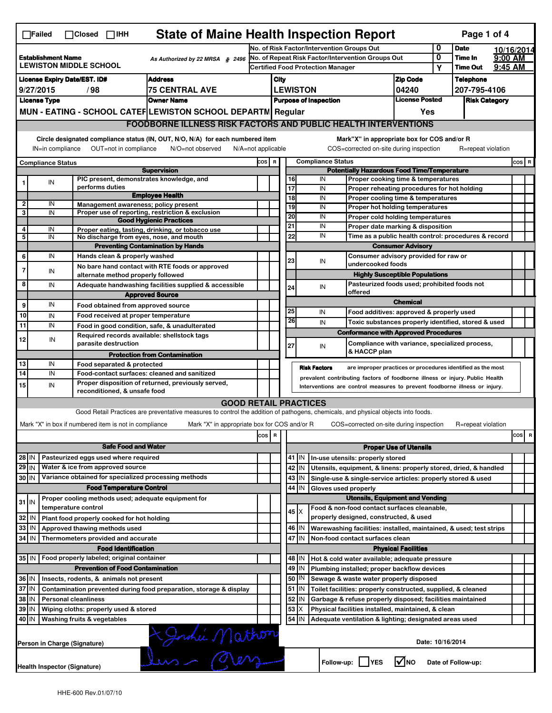| <b>State of Maine Health Inspection Report</b><br>Page 1 of 4<br>$\Box$ Failed<br>$\Box$ Closed $\Box$ IHH                                                                                                                                                                                |                                                                                                         |                                                       |                                                                                                                                   |       |                                            |                                                                                                         |                                                                               |                                                              |                                                                                       |                                       |                                              |                      |          |            |
|-------------------------------------------------------------------------------------------------------------------------------------------------------------------------------------------------------------------------------------------------------------------------------------------|---------------------------------------------------------------------------------------------------------|-------------------------------------------------------|-----------------------------------------------------------------------------------------------------------------------------------|-------|--------------------------------------------|---------------------------------------------------------------------------------------------------------|-------------------------------------------------------------------------------|--------------------------------------------------------------|---------------------------------------------------------------------------------------|---------------------------------------|----------------------------------------------|----------------------|----------|------------|
|                                                                                                                                                                                                                                                                                           |                                                                                                         |                                                       |                                                                                                                                   |       | No. of Risk Factor/Intervention Groups Out |                                                                                                         |                                                                               |                                                              |                                                                                       |                                       | 0                                            | <b>Date</b>          |          | 10/16/2014 |
| <b>Establishment Name</b><br>As Authorized by 22 MRSA § 2496<br><b>LEWISTON MIDDLE SCHOOL</b>                                                                                                                                                                                             |                                                                                                         |                                                       | No. of Repeat Risk Factor/Intervention Groups Out<br><b>Certified Food Protection Manager</b>                                     |       |                                            |                                                                                                         |                                                                               |                                                              |                                                                                       | 0                                     | Time In                                      | 9:00 AM              |          |            |
|                                                                                                                                                                                                                                                                                           |                                                                                                         |                                                       |                                                                                                                                   |       |                                            |                                                                                                         |                                                                               |                                                              |                                                                                       |                                       | Υ                                            | <b>Time Out</b>      | 9:45 AM  |            |
| <b>Address</b><br><b>License Expiry Date/EST. ID#</b>                                                                                                                                                                                                                                     |                                                                                                         |                                                       |                                                                                                                                   |       | <b>Zip Code</b><br>City                    |                                                                                                         |                                                                               |                                                              |                                                                                       |                                       |                                              | <b>Telephone</b>     |          |            |
| 9/27/2015<br>/98<br>75 CENTRAL AVE                                                                                                                                                                                                                                                        |                                                                                                         |                                                       |                                                                                                                                   |       | <b>LEWISTON</b><br>04240                   |                                                                                                         |                                                                               |                                                              |                                                                                       | <b>License Posted</b>                 |                                              | 207-795-4106         |          |            |
|                                                                                                                                                                                                                                                                                           | <b>License Type</b><br><b>Owner Name</b><br>MUN - EATING - SCHOOL CATEF LEWISTON SCHOOL DEPARTN Regular |                                                       |                                                                                                                                   |       |                                            |                                                                                                         |                                                                               | <b>Purpose of Inspection</b>                                 |                                                                                       |                                       |                                              | <b>Risk Category</b> |          |            |
|                                                                                                                                                                                                                                                                                           |                                                                                                         |                                                       |                                                                                                                                   |       |                                            |                                                                                                         |                                                                               |                                                              |                                                                                       | Yes                                   |                                              |                      |          |            |
|                                                                                                                                                                                                                                                                                           |                                                                                                         |                                                       | <b>FOODBORNE ILLNESS RISK FACTORS AND PUBLIC HEALTH INTERVENTIONS</b>                                                             |       |                                            |                                                                                                         |                                                                               |                                                              |                                                                                       |                                       |                                              |                      |          |            |
| Circle designated compliance status (IN, OUT, N/O, N/A) for each numbered item<br>Mark"X" in appropriate box for COS and/or R<br>OUT=not in compliance<br>COS=corrected on-site during inspection<br>IN=in compliance<br>N/O=not observed<br>$N/A = not$ applicable<br>R=repeat violation |                                                                                                         |                                                       |                                                                                                                                   |       |                                            |                                                                                                         |                                                                               |                                                              |                                                                                       |                                       |                                              |                      |          |            |
|                                                                                                                                                                                                                                                                                           | <b>Compliance Status</b>                                                                                |                                                       |                                                                                                                                   | cos   | $\mathbf R$                                |                                                                                                         |                                                                               | <b>Compliance Status</b>                                     |                                                                                       |                                       |                                              |                      |          | COS R      |
|                                                                                                                                                                                                                                                                                           |                                                                                                         |                                                       | <b>Supervision</b>                                                                                                                |       |                                            |                                                                                                         |                                                                               |                                                              | <b>Potentially Hazardous Food Time/Temperature</b>                                    |                                       |                                              |                      |          |            |
|                                                                                                                                                                                                                                                                                           | IN                                                                                                      | performs duties                                       | PIC present, demonstrates knowledge, and                                                                                          |       |                                            | 16                                                                                                      |                                                                               | IN                                                           | Proper cooking time & temperatures                                                    |                                       |                                              |                      |          |            |
|                                                                                                                                                                                                                                                                                           |                                                                                                         |                                                       | <b>Employee Health</b>                                                                                                            |       |                                            | 17<br>$\overline{18}$                                                                                   |                                                                               | IN<br>IN                                                     | Proper reheating procedures for hot holding                                           |                                       |                                              |                      |          |            |
| $\overline{\mathbf{2}}$                                                                                                                                                                                                                                                                   | IN                                                                                                      |                                                       | Management awareness; policy present                                                                                              |       |                                            | 19                                                                                                      |                                                                               | IN                                                           | Proper cooling time & temperatures<br>Proper hot holding temperatures                 |                                       |                                              |                      |          |            |
| 3                                                                                                                                                                                                                                                                                         | IN                                                                                                      |                                                       | Proper use of reporting, restriction & exclusion                                                                                  |       |                                            | 20                                                                                                      |                                                                               | IN                                                           | Proper cold holding temperatures                                                      |                                       |                                              |                      |          |            |
|                                                                                                                                                                                                                                                                                           |                                                                                                         |                                                       | <b>Good Hygienic Practices</b>                                                                                                    |       |                                            | 21                                                                                                      |                                                                               | IN                                                           | Proper date marking & disposition                                                     |                                       |                                              |                      |          |            |
| 4<br>5                                                                                                                                                                                                                                                                                    | IN<br>IN                                                                                                |                                                       | Proper eating, tasting, drinking, or tobacco use<br>No discharge from eyes, nose, and mouth                                       |       |                                            | 22                                                                                                      |                                                                               | IN                                                           | Time as a public health control: procedures & record                                  |                                       |                                              |                      |          |            |
|                                                                                                                                                                                                                                                                                           |                                                                                                         |                                                       | <b>Preventing Contamination by Hands</b>                                                                                          |       |                                            |                                                                                                         |                                                                               | <b>Consumer Advisory</b>                                     |                                                                                       |                                       |                                              |                      |          |            |
| 6                                                                                                                                                                                                                                                                                         | IN                                                                                                      | Hands clean & properly washed                         |                                                                                                                                   |       |                                            |                                                                                                         |                                                                               |                                                              | Consumer advisory provided for raw or                                                 |                                       |                                              |                      |          |            |
| $\overline{7}$                                                                                                                                                                                                                                                                            |                                                                                                         |                                                       | No bare hand contact with RTE foods or approved                                                                                   |       |                                            | 23                                                                                                      |                                                                               | IN                                                           | undercooked foods                                                                     |                                       |                                              |                      |          |            |
|                                                                                                                                                                                                                                                                                           | IN                                                                                                      | alternate method properly followed                    |                                                                                                                                   |       |                                            |                                                                                                         |                                                                               |                                                              |                                                                                       | <b>Highly Susceptible Populations</b> |                                              |                      |          |            |
| 8                                                                                                                                                                                                                                                                                         | IN                                                                                                      |                                                       | Adequate handwashing facilities supplied & accessible                                                                             |       |                                            | 24                                                                                                      |                                                                               | IN                                                           |                                                                                       |                                       | Pasteurized foods used; prohibited foods not |                      |          |            |
|                                                                                                                                                                                                                                                                                           |                                                                                                         |                                                       | <b>Approved Source</b>                                                                                                            |       |                                            |                                                                                                         |                                                                               |                                                              | offered                                                                               |                                       |                                              |                      |          |            |
| 9                                                                                                                                                                                                                                                                                         | IN                                                                                                      |                                                       | Food obtained from approved source                                                                                                |       |                                            |                                                                                                         |                                                                               |                                                              |                                                                                       | <b>Chemical</b>                       |                                              |                      |          |            |
| 10                                                                                                                                                                                                                                                                                        | IN                                                                                                      |                                                       | Food received at proper temperature                                                                                               |       |                                            | 25<br>26                                                                                                |                                                                               | IN                                                           | Food additives: approved & properly used                                              |                                       |                                              |                      |          |            |
| $\overline{11}$                                                                                                                                                                                                                                                                           | IN                                                                                                      |                                                       | Food in good condition, safe, & unadulterated                                                                                     |       |                                            |                                                                                                         |                                                                               | IN                                                           | Toxic substances properly identified, stored & used                                   |                                       |                                              |                      |          |            |
| 12                                                                                                                                                                                                                                                                                        | IN                                                                                                      |                                                       | Required records available: shellstock tags                                                                                       |       |                                            |                                                                                                         |                                                                               |                                                              | <b>Conformance with Approved Procedures</b>                                           |                                       |                                              |                      |          |            |
|                                                                                                                                                                                                                                                                                           |                                                                                                         | parasite destruction                                  |                                                                                                                                   |       |                                            | 27                                                                                                      |                                                                               | IN                                                           | Compliance with variance, specialized process,                                        |                                       |                                              |                      |          |            |
|                                                                                                                                                                                                                                                                                           |                                                                                                         |                                                       | <b>Protection from Contamination</b>                                                                                              |       |                                            |                                                                                                         |                                                                               |                                                              | & HACCP plan                                                                          |                                       |                                              |                      |          |            |
| 13                                                                                                                                                                                                                                                                                        | IN                                                                                                      | Food separated & protected                            |                                                                                                                                   |       |                                            |                                                                                                         |                                                                               | <b>Risk Factors</b>                                          | are improper practices or procedures identified as the most                           |                                       |                                              |                      |          |            |
| 14                                                                                                                                                                                                                                                                                        | IN                                                                                                      |                                                       | Food-contact surfaces: cleaned and sanitized                                                                                      |       |                                            |                                                                                                         |                                                                               |                                                              | prevalent contributing factors of foodborne illness or injury. Public Health          |                                       |                                              |                      |          |            |
| 15                                                                                                                                                                                                                                                                                        | IN                                                                                                      | reconditioned, & unsafe food                          | Proper disposition of returned, previously served,                                                                                |       |                                            |                                                                                                         |                                                                               |                                                              | Interventions are control measures to prevent foodborne illness or injury.            |                                       |                                              |                      |          |            |
|                                                                                                                                                                                                                                                                                           |                                                                                                         |                                                       | <b>GOOD RETAIL PRACTICES</b>                                                                                                      |       |                                            |                                                                                                         |                                                                               |                                                              |                                                                                       |                                       |                                              |                      |          |            |
|                                                                                                                                                                                                                                                                                           |                                                                                                         |                                                       | Good Retail Practices are preventative measures to control the addition of pathogens, chemicals, and physical objects into foods. |       |                                            |                                                                                                         |                                                                               |                                                              |                                                                                       |                                       |                                              |                      |          |            |
|                                                                                                                                                                                                                                                                                           |                                                                                                         | Mark "X" in box if numbered item is not in compliance | Mark "X" in appropriate box for COS and/or R                                                                                      |       |                                            |                                                                                                         |                                                                               |                                                              | COS=corrected on-site during inspection                                               |                                       |                                              | R=repeat violation   |          |            |
|                                                                                                                                                                                                                                                                                           |                                                                                                         |                                                       |                                                                                                                                   |       |                                            |                                                                                                         |                                                                               |                                                              |                                                                                       |                                       |                                              |                      |          |            |
|                                                                                                                                                                                                                                                                                           |                                                                                                         |                                                       |                                                                                                                                   | cos R |                                            |                                                                                                         |                                                                               |                                                              |                                                                                       |                                       |                                              |                      | cos<br>R |            |
|                                                                                                                                                                                                                                                                                           |                                                                                                         |                                                       | <b>Safe Food and Water</b>                                                                                                        |       |                                            |                                                                                                         |                                                                               |                                                              |                                                                                       | <b>Proper Use of Utensils</b>         |                                              |                      |          |            |
| $28$ IN                                                                                                                                                                                                                                                                                   |                                                                                                         | Pasteurized eggs used where required                  |                                                                                                                                   |       |                                            | 41                                                                                                      | IN                                                                            |                                                              | In-use utensils: properly stored                                                      |                                       |                                              |                      |          |            |
| $29$ IN                                                                                                                                                                                                                                                                                   |                                                                                                         | Water & ice from approved source                      |                                                                                                                                   |       |                                            |                                                                                                         | 42 IN                                                                         |                                                              | Utensils, equipment, & linens: properly stored, dried, & handled                      |                                       |                                              |                      |          |            |
| 30 IN                                                                                                                                                                                                                                                                                     |                                                                                                         |                                                       | Variance obtained for specialized processing methods                                                                              |       |                                            |                                                                                                         | $43$ IN                                                                       |                                                              | Single-use & single-service articles: properly stored & used                          |                                       |                                              |                      |          |            |
|                                                                                                                                                                                                                                                                                           |                                                                                                         | <b>Food Temperature Control</b>                       |                                                                                                                                   |       |                                            | 44                                                                                                      | IN                                                                            | Gloves used properly                                         |                                                                                       |                                       |                                              |                      |          |            |
| $31$ IN                                                                                                                                                                                                                                                                                   |                                                                                                         |                                                       | Proper cooling methods used; adequate equipment for                                                                               |       |                                            | <b>Utensils, Equipment and Vending</b>                                                                  |                                                                               |                                                              |                                                                                       |                                       |                                              |                      |          |            |
|                                                                                                                                                                                                                                                                                           |                                                                                                         | temperature control                                   |                                                                                                                                   |       |                                            |                                                                                                         | 45   X                                                                        |                                                              | Food & non-food contact surfaces cleanable,<br>properly designed, constructed, & used |                                       |                                              |                      |          |            |
| 32                                                                                                                                                                                                                                                                                        | IN                                                                                                      | Plant food properly cooked for hot holding            |                                                                                                                                   |       |                                            |                                                                                                         |                                                                               |                                                              |                                                                                       |                                       |                                              |                      |          |            |
| 33                                                                                                                                                                                                                                                                                        | IN                                                                                                      | Approved thawing methods used                         |                                                                                                                                   |       |                                            |                                                                                                         | 46   IN<br>Warewashing facilities: installed, maintained, & used; test strips |                                                              |                                                                                       |                                       |                                              |                      |          |            |
| 34                                                                                                                                                                                                                                                                                        | l IN                                                                                                    | Thermometers provided and accurate                    |                                                                                                                                   |       |                                            |                                                                                                         | 47 IN<br>Non-food contact surfaces clean                                      |                                                              |                                                                                       |                                       |                                              |                      |          |            |
|                                                                                                                                                                                                                                                                                           |                                                                                                         | <b>Food Identification</b>                            |                                                                                                                                   |       |                                            | <b>Physical Facilities</b><br>Hot & cold water available; adequate pressure                             |                                                                               |                                                              |                                                                                       |                                       |                                              |                      |          |            |
| Food properly labeled; original container<br>35 IN                                                                                                                                                                                                                                        |                                                                                                         |                                                       |                                                                                                                                   |       |                                            | 48<br>I IN.                                                                                             |                                                                               |                                                              |                                                                                       |                                       |                                              |                      |          |            |
| <b>Prevention of Food Contamination</b>                                                                                                                                                                                                                                                   |                                                                                                         |                                                       |                                                                                                                                   |       |                                            | 49<br>Plumbing installed; proper backflow devices<br>IN<br>50<br>Sewage & waste water properly disposed |                                                                               |                                                              |                                                                                       |                                       |                                              |                      |          |            |
| 36 IN                                                                                                                                                                                                                                                                                     |                                                                                                         | Insects, rodents, & animals not present               |                                                                                                                                   |       |                                            |                                                                                                         | IN                                                                            |                                                              |                                                                                       |                                       |                                              |                      |          |            |
| 37 IN<br>Contamination prevented during food preparation, storage & display<br>38<br>IN                                                                                                                                                                                                   |                                                                                                         |                                                       |                                                                                                                                   |       |                                            | $51$ $\vert$ IN<br>52                                                                                   |                                                                               | Toilet facilities: properly constructed, supplied, & cleaned |                                                                                       |                                       |                                              |                      |          |            |
| <b>Personal cleanliness</b>                                                                                                                                                                                                                                                               |                                                                                                         |                                                       |                                                                                                                                   |       | 53                                         | ΙN<br>X                                                                                                 |                                                                               | Garbage & refuse properly disposed; facilities maintained    |                                                                                       |                                       |                                              |                      |          |            |
| 39<br>IN<br>Wiping cloths: properly used & stored<br>40 IN<br>Washing fruits & vegetables                                                                                                                                                                                                 |                                                                                                         |                                                       |                                                                                                                                   |       |                                            | $54$ IN                                                                                                 |                                                                               | Physical facilities installed, maintained, & clean           |                                                                                       |                                       |                                              |                      |          |            |
|                                                                                                                                                                                                                                                                                           | Adequate ventilation & lighting; designated areas used                                                  |                                                       |                                                                                                                                   |       |                                            |                                                                                                         |                                                                               |                                                              |                                                                                       |                                       |                                              |                      |          |            |
|                                                                                                                                                                                                                                                                                           |                                                                                                         | Person in Charge (Signature)                          | Lami Mathor                                                                                                                       |       |                                            |                                                                                                         |                                                                               |                                                              |                                                                                       | Date: 10/16/2014                      |                                              |                      |          |            |
|                                                                                                                                                                                                                                                                                           | Health Inspector (Signature)                                                                            |                                                       |                                                                                                                                   |       |                                            |                                                                                                         |                                                                               |                                                              | Follow-up:     YES                                                                    | $\sqrt{N}$ NO                         |                                              | Date of Follow-up:   |          |            |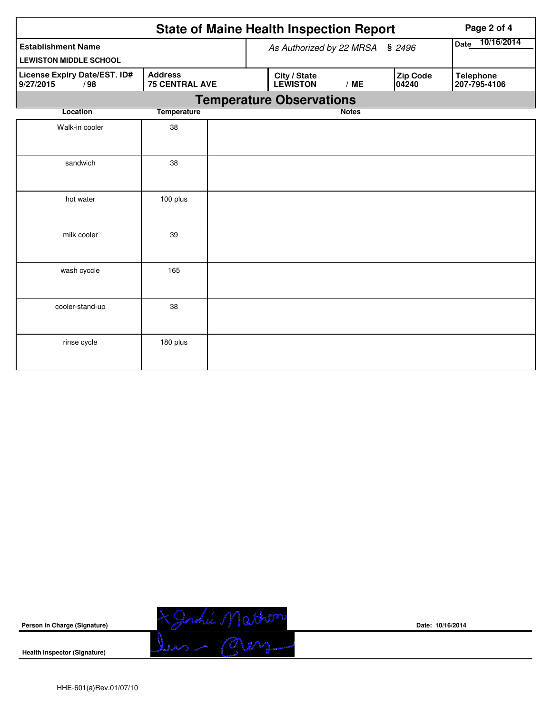|                                                            |                                         |  | <b>State of Maine Health Inspection Report</b> | Page 2 of 4               |                          |                                  |
|------------------------------------------------------------|-----------------------------------------|--|------------------------------------------------|---------------------------|--------------------------|----------------------------------|
| <b>Establishment Name</b><br><b>LEWISTON MIDDLE SCHOOL</b> |                                         |  | As Authorized by 22 MRSA                       | 10/16/2014<br><b>Date</b> |                          |                                  |
| License Expiry Date/EST. ID#<br>9/27/2015<br>/98           | <b>Address</b><br><b>75 CENTRAL AVE</b> |  | City / State<br><b>LEWISTON</b>                | /ME                       | <b>Zip Code</b><br>04240 | <b>Telephone</b><br>207-795-4106 |
|                                                            |                                         |  | <b>Temperature Observations</b>                |                           |                          |                                  |
| Location                                                   | <b>Temperature</b>                      |  |                                                | <b>Notes</b>              |                          |                                  |
| Walk-in cooler                                             | 38                                      |  |                                                |                           |                          |                                  |
| sandwich                                                   | 38                                      |  |                                                |                           |                          |                                  |
| hot water                                                  | 100 plus                                |  |                                                |                           |                          |                                  |
| milk cooler                                                | 39                                      |  |                                                |                           |                          |                                  |
| wash cyccle                                                | 165                                     |  |                                                |                           |                          |                                  |
| cooler-stand-up                                            | 38                                      |  |                                                |                           |                          |                                  |
| rinse cycle                                                | 180 plus                                |  |                                                |                           |                          |                                  |



**Date: 10/16/2014**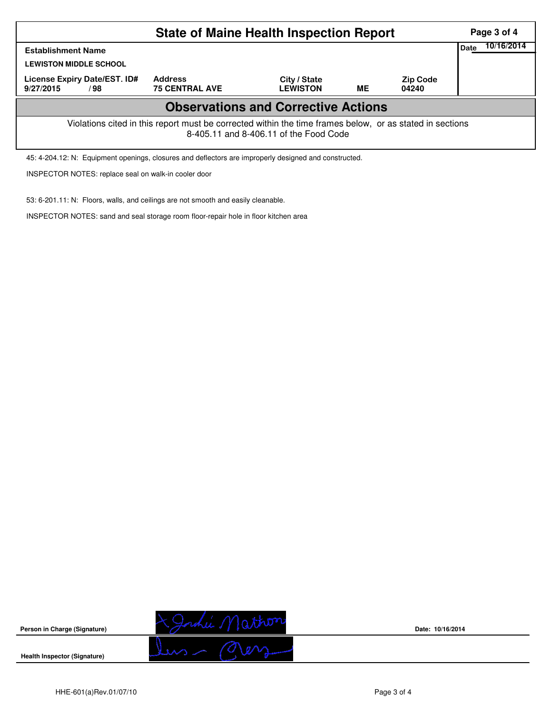| <b>State of Maine Health Inspection Report</b>                                                                                                     |                                         |                                 |           |                          |             |            |  |  |  |
|----------------------------------------------------------------------------------------------------------------------------------------------------|-----------------------------------------|---------------------------------|-----------|--------------------------|-------------|------------|--|--|--|
| <b>Establishment Name</b><br><b>LEWISTON MIDDLE SCHOOL</b>                                                                                         |                                         |                                 |           |                          | <b>Date</b> | 10/16/2014 |  |  |  |
| License Expiry Date/EST. ID#<br>9/27/2015<br>/98                                                                                                   | <b>Address</b><br><b>75 CENTRAL AVE</b> | City / State<br><b>LEWISTON</b> | <b>ME</b> | <b>Zip Code</b><br>04240 |             |            |  |  |  |
| <b>Observations and Corrective Actions</b>                                                                                                         |                                         |                                 |           |                          |             |            |  |  |  |
| Violations cited in this report must be corrected within the time frames below, or as stated in sections<br>8-405.11 and 8-406.11 of the Food Code |                                         |                                 |           |                          |             |            |  |  |  |

45: 4-204.12: N: Equipment openings, closures and deflectors are improperly designed and constructed.

INSPECTOR NOTES: replace seal on walk-in cooler door

53: 6-201.11: N: Floors, walls, and ceilings are not smooth and easily cleanable.

INSPECTOR NOTES: sand and seal storage room floor-repair hole in floor kitchen area



**Date: 10/16/2014**

**Health Inspector (Signature)** 

**Person in Charge (Signature)**